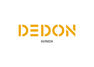# DEDON **AHNDA**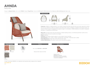**AHNDA** Wing chair

Design by Stephen Burks | Item code: 070006 | Weight 18 kg/40 lbs | Volume 1 m<sup>3</sup>/37 cu ft | COM (Customer Own Material): 2,30 m/3.50 yd (plain fabric only)





Collection: AHNDA, by Stephen Burks, is an outdoor lounge chair family with all of the iconic style, ergonomic comfort and luxurious attention to detail one expects of the finest indoor pieces. Available in wingback and lounge versions, its posture inclined enough for relaxation but upright enough for conversation, AHNDA features an innovative 'transparent upholstery' of weatherproof DEDON fiber.

Wing chair: This high-back wing chair features a relaxed seating posture, an embracing backrest cushion and a headrest cushion that can be used at two heights.

DEDON

Frame: Aluminum

Finishing: Electrostatic powder-coated in a color similar to that of the fiber

Characteristics: Iconic, classic, relaxed, exceptionally comfortable, masterfully hand-crafted

Frame Maintenance: Clean with a soft cloth and warm water.

Cushion Maintenance: All cushion covers can be removed and washed.



*To learn more about DEDON, our collections and warranty policy, please visit our website –*

#### www.dedon.de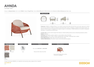## **AHNDA** Lounge chair

Design by Stephen Burks | Item code: 070005 | Weight 12 kg/27 lbs | Volume 0,6 m<sup>3</sup>/20 cu ft | COM (Customer Own Material): 2,30 m/3.50 yd (plain fabric only)



#### **Measurements**



Collection: AHNDA, by Stephen Burks, is an outdoor lounge chair family with all of the iconic style, ergonomic comfort and luxurious attention to detail one expects of the finest indoor pieces. Available in wingback and lounge versions, its posture inclined enough for relaxation but upright enough for conversation, AHNDA features an innovative 'transparent upholstery' of weatherproof DEDON fiber.

Lounge chair: This low-back lounge chair features a relaxed seating posture and an embracing backrest cushion. Frame: Aluminum

DEDON

- Finishing: Electrostatic powder-coated in a color similar to that of the fiber
- Characteristics: Iconic, classic, relaxed, exceptionally comfortable, masterfully hand-crafted
- Frame Maintenance: Clean with a soft cloth and warm water.
- Cushion Maintenance: All cushion covers can be removed and washed.



*To learn more about DEDON, our collections and warranty policy, please visit our website –*

www.dedon.de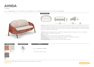**AHNDA** 2-seater

Design by Stephen Burks | Item code: 070012 | Weight 15 kg/33 lbs | Volume 1,1m<sup>3</sup>/39 cu ft | COM (Customer Own Material): to be determined





Collection: AHNDA, by Stephen Burks, is an outdoor lounge chair family with all of the iconic style, ergonomic comfort and luxurious attention to detail one expects of the finest indoor pieces. Available in wingback and lounge versions, its posture inclined enough for relaxation but upright enough for conversation, AHNDA features an innovative 'transparent upholstery' of weatherproof DEDON fiber.

DEDON

2-seater: Seating two people with ease, the AHNDA 2-seater offers the same exceptional comfort and thoughtful attention to details as the AHNDA lounge chairs.

Frame: Aluminum

Finishing: Electrostatic powder-coated in a color similar to that of the fiber

Characteristics: Iconic, classic, relaxed, exceptionally comfortable, masterfully hand-crafted

Frame Maintenance: Clean with a soft cloth and warm water.

Cushion Maintenance: All cushion covers can be removed and washed.



*To learn more about DEDON, our collections and warranty policy, please visit our website –*

www.dedon.de